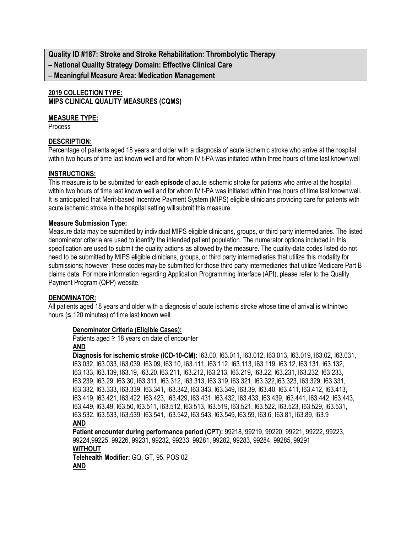**Quality ID #187: Stroke and Stroke Rehabilitation: Thrombolytic Therapy – National Quality Strategy Domain: Effective Clinical Care – Meaningful Measure Area: Medication Management**

## **2019 COLLECTION TYPE: MIPS CLINICAL QUALITY MEASURES (CQMS)**

## **MEASURE TYPE:**

Process

## **DESCRIPTION:**

Percentage of patients aged 18 years and older with a diagnosis of acute ischemic stroke who arrive at thehospital within two hours of time last known well and for whom IV t-PA was initiated within three hours of time last knownwell

### **INSTRUCTIONS:**

This measure is to be submitted for **each episode** of acute ischemic stroke for patients who arrive at the hospital within two hours of time last known well and for whom IV t-PA was initiated within three hours of time last knownwell. It is anticipated that Merit-based Incentive Payment System (MIPS) eligible clinicians providing care for patients with acute ischemic stroke in the hospital setting willsubmit this measure.

### **Measure Submission Type:**

Measure data may be submitted by individual MIPS eligible clinicians, groups, or third party intermediaries. The listed denominator criteria are used to identify the intended patient population. The numerator options included in this specification are used to submit the quality actions as allowed by the measure. The quality-data codes listed do not need to be submitted by MIPS eligible clinicians, groups, or third party intermediaries that utilize this modality for submissions; however, these codes may be submitted for those third party intermediaries that utilize Medicare Part B claims data. For more information regarding Application Programming Interface (API), please refer to the Quality Payment Program (QPP) website.

## **DENOMINATOR:**

All patients aged 18 years and older with a diagnosis of acute ischemic stroke whose time of arrival is withintwo hours ( $\leq$  120 minutes) of time last known well

### **Denominator Criteria (Eligible Cases):**

### Patients aged  $\geq$  18 years on date of encounter **AND**

**Diagnosis for ischemic stroke (ICD-10-CM):** I63.00, I63.011, I63.012, I63.013, I63.019, I63.02, I63.031, I63.032, I63.033, I63.039, I63.09, I63.10, I63.111, I63.112, I63.113, I63.119, I63.12, I63.131, I63.132, I63.133, I63.139, I63.19, I63.20, I63.211, I63.212, I63.213, I63.219, I63.22, I63.231, I63.232, I63.233, I63.239, I63.29, I63.30, I63.311, I63.312, I63.313, I63.319, I63.321, I63.322,I63.323, I63.329, I63.331, I63.332, I63.333, I63.339, I63.341, I63.342, I63.343, I63.349, I63.39, I63.40, I63.411, I63.412, I63.413, I63.419, I63.421, I63.422, I63.423, I63.429, I63.431, I63.432, I63.433, I63.439, I63.441, I63.442, I63.443, I63.449, I63.49, I63.50, I63.511, I63.512, I63.513, I63.519, I63.521, I63.522, I63.523, I63.529, I63.531, I63.532, I63.533, I63.539, I63.541, I63.542, I63.543, I63.549, I63.59, I63.6, I63.81, I63.89, I63.9 **AND**

**Patient encounter during performance period (CPT):** 99218, 99219, 99220, 99221, 99222, 99223, 99224,99225, 99226, 99231, 99232, 99233, 99281, 99282, 99283, 99284, 99285, 99291

## **WITHOUT**

**Telehealth Modifier:** GQ, GT, 95, POS 02 **AND**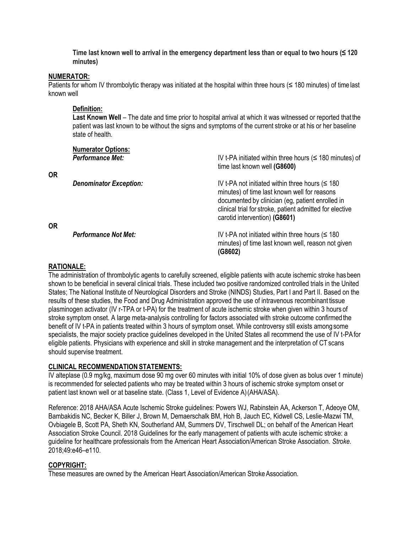**Time last known well to arrival in the emergency department less than or equal to two hours (≤ 120 minutes)**

#### **NUMERATOR:**

Patients for whom IV thrombolytic therapy was initiated at the hospital within three hours  $(\leq 180 \text{ minutes})$  of time last known well

### **Definition:**

**Last Known Well** – The date and time prior to hospital arrival at which it was witnessed or reported that the patient was last known to be without the signs and symptoms of the current stroke or at his or her baseline state of health.

| <b>OR</b> | <b>Numerator Options:</b><br><b>Performance Met:</b> | IV t-PA initiated within three hours ( $\leq$ 180 minutes) of<br>time last known well (G8600)                                                                                                                                                 |
|-----------|------------------------------------------------------|-----------------------------------------------------------------------------------------------------------------------------------------------------------------------------------------------------------------------------------------------|
|           | <b>Denominator Exception:</b>                        | IV t-PA not initiated within three hours $($<br>minutes) of time last known well for reasons<br>documented by clinician (eg, patient enrolled in<br>clinical trial for stroke, patient admitted for elective<br>carotid intervention) (G8601) |
| <b>OR</b> | <b>Performance Not Met:</b>                          | IV t-PA not initiated within three hours $($<br>minutes) of time last known well, reason not given<br>(G8602)                                                                                                                                 |

## **RATIONALE:**

The administration of thrombolytic agents to carefully screened, eligible patients with acute ischemic stroke hasbeen shown to be beneficial in several clinical trials. These included two positive randomized controlled trials in the United States; The National Institute of Neurological Disorders and Stroke (NINDS) Studies, Part I and Part II. Based on the results of these studies, the Food and Drug Administration approved the use of intravenous recombinant tissue plasminogen activator (IV r-TPA or t-PA) for the treatment of acute ischemic stroke when given within 3 hours of stroke symptom onset. A large meta-analysis controlling for factors associated with stroke outcome confirmed the benefit of IV t-PA in patients treated within 3 hours of symptom onset. While controversy still exists among some specialists, the major society practice guidelines developed in the United States all recommend the use of IV t-PAfor eligible patients. Physicians with experience and skill in stroke management and the interpretation of CT scans should supervise treatment.

### **CLINICAL RECOMMENDATION STATEMENTS:**

IV alteplase (0.9 mg/kg, maximum dose 90 mg over 60 minutes with initial 10% of dose given as bolus over 1 minute) is recommended for selected patients who may be treated within 3 hours of ischemic stroke symptom onset or patient last known well or at baseline state**.** (Class 1, Level of Evidence A)(AHA/ASA).

Reference: 2018 AHA/ASA Acute Ischemic Stroke guidelines: Powers WJ, Rabinstein AA, Ackerson T, Adeoye OM, Bambakidis NC, Becker K, Biller J, Brown M, Demaerschalk BM, Hoh B, Jauch EC, Kidwell CS, Leslie-Mazwi TM, Ovbiagele B, Scott PA, Sheth KN, Southerland AM, Summers DV, Tirschwell DL; on behalf of the American Heart Association Stroke Council. 2018 Guidelines for the early management of patients with acute ischemic stroke: a guideline for healthcare professionals from the American Heart Association/American Stroke Association. *Stroke.*  2018;49:e46–e110.

## **COPYRIGHT:**

These measures are owned by the American Heart Association/American Stroke Association.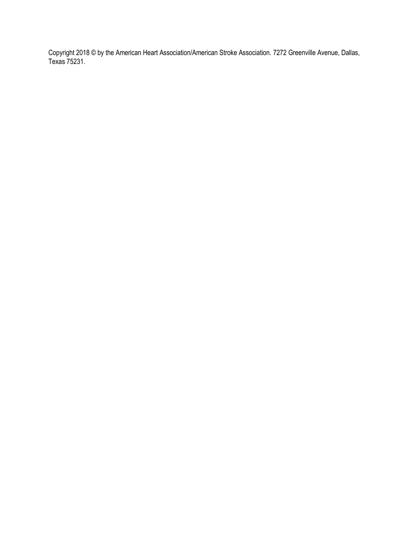Copyright 2018 © by the American Heart Association/American Stroke Association. 7272 Greenville Avenue, Dallas, Texas 75231.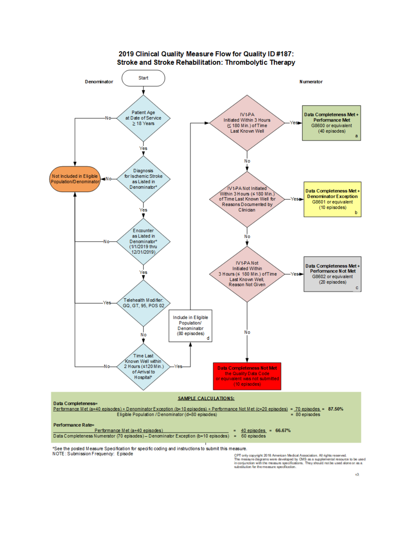

CPT only copyright 2018 American Medical Association. All rights reserved.<br>The measure diagrams were developed by CMS as a supplemental resource to be used<br>in conjunction with the measure specifications. They should not be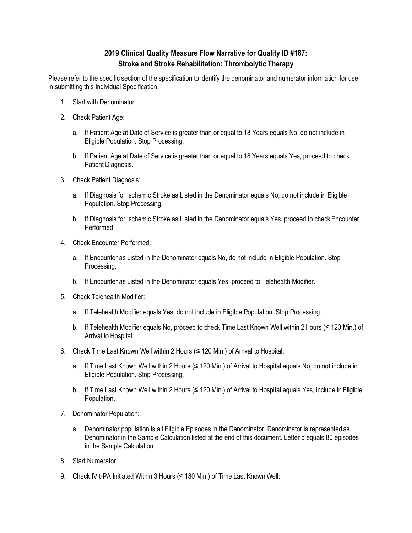# **2019 Clinical Quality Measure Flow Narrative for Quality ID #187: Stroke and Stroke Rehabilitation: Thrombolytic Therapy**

Please refer to the specific section of the specification to identify the denominator and numerator information for use in submitting this Individual Specification.

- 1. Start with Denominator
- 2. Check Patient Age:
	- a. If Patient Age at Date of Service is greater than or equal to 18 Years equals No, do not include in Eligible Population. Stop Processing.
	- b. If Patient Age at Date of Service is greater than or equal to 18 Years equals Yes, proceed to check Patient Diagnosis.
- 3. Check Patient Diagnosis:
	- a. If Diagnosis for Ischemic Stroke as Listed in the Denominator equals No, do not include in Eligible Population. Stop Processing.
	- b. If Diagnosis for Ischemic Stroke as Listed in the Denominator equals Yes, proceed to check Encounter Performed.
- 4. Check Encounter Performed:
	- a. If Encounter as Listed in the Denominator equals No, do not include in Eligible Population. Stop Processing.
	- b. If Encounter as Listed in the Denominator equals Yes, proceed to Telehealth Modifier.
- 5. Check Telehealth Modifier:
	- a. If Telehealth Modifier equals Yes, do not include in Eligible Population. Stop Processing.
	- b. If Telehealth Modifier equals No, proceed to check Time Last Known Well within 2Hours (≤ 120 Min.) of Arrival to Hospital.
- 6. Check Time Last Known Well within 2 Hours (≤ 120 Min.) of Arrival to Hospital:
	- a. If Time Last Known Well within 2 Hours (≤ 120 Min.) of Arrival to Hospital equals No, do not include in Eligible Population. Stop Processing.
	- b. If Time Last Known Well within 2 Hours (≤ 120 Min.) of Arrival to Hospital equals Yes, include in Eligible Population.
- 7. Denominator Population:
	- a. Denominator population is all Eligible Episodes in the Denominator. Denominator is represented as Denominator in the Sample Calculation listed at the end of this document. Letter d equals 80 episodes in the Sample Calculation.
- 8. Start Numerator
- 9. Check IV t-PA Initiated Within 3 Hours (≤ 180 Min.) of Time Last Known Well: